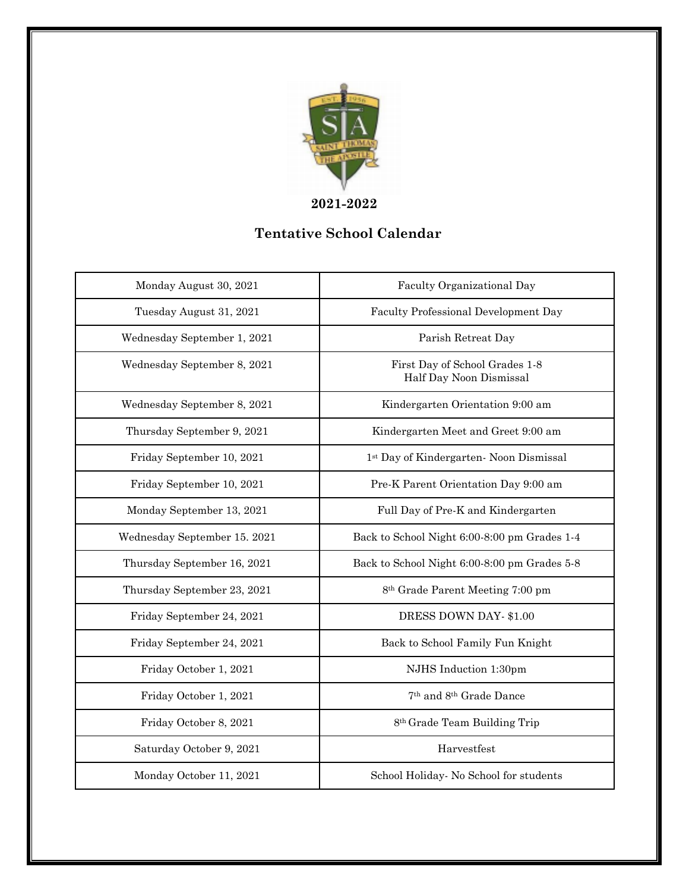

## **Tentative School Calendar**

| Monday August 30, 2021       | Faculty Organizational Day                                |
|------------------------------|-----------------------------------------------------------|
| Tuesday August 31, 2021      | Faculty Professional Development Day                      |
| Wednesday September 1, 2021  | Parish Retreat Day                                        |
| Wednesday September 8, 2021  | First Day of School Grades 1-8<br>Half Day Noon Dismissal |
| Wednesday September 8, 2021  | Kindergarten Orientation 9:00 am                          |
| Thursday September 9, 2021   | Kindergarten Meet and Greet 9:00 am                       |
| Friday September 10, 2021    | 1st Day of Kindergarten- Noon Dismissal                   |
| Friday September 10, 2021    | Pre-K Parent Orientation Day 9:00 am                      |
| Monday September 13, 2021    | Full Day of Pre-K and Kindergarten                        |
| Wednesday September 15. 2021 | Back to School Night 6:00-8:00 pm Grades 1-4              |
| Thursday September 16, 2021  | Back to School Night 6:00-8:00 pm Grades 5-8              |
| Thursday September 23, 2021  | 8 <sup>th</sup> Grade Parent Meeting 7:00 pm              |
| Friday September 24, 2021    | DRESS DOWN DAY- \$1.00                                    |
| Friday September 24, 2021    | Back to School Family Fun Knight                          |
| Friday October 1, 2021       | NJHS Induction 1:30pm                                     |
| Friday October 1, 2021       | 7 <sup>th</sup> and 8 <sup>th</sup> Grade Dance           |
| Friday October 8, 2021       | 8th Grade Team Building Trip                              |
| Saturday October 9, 2021     | Harvestfest                                               |
| Monday October 11, 2021      | School Holiday- No School for students                    |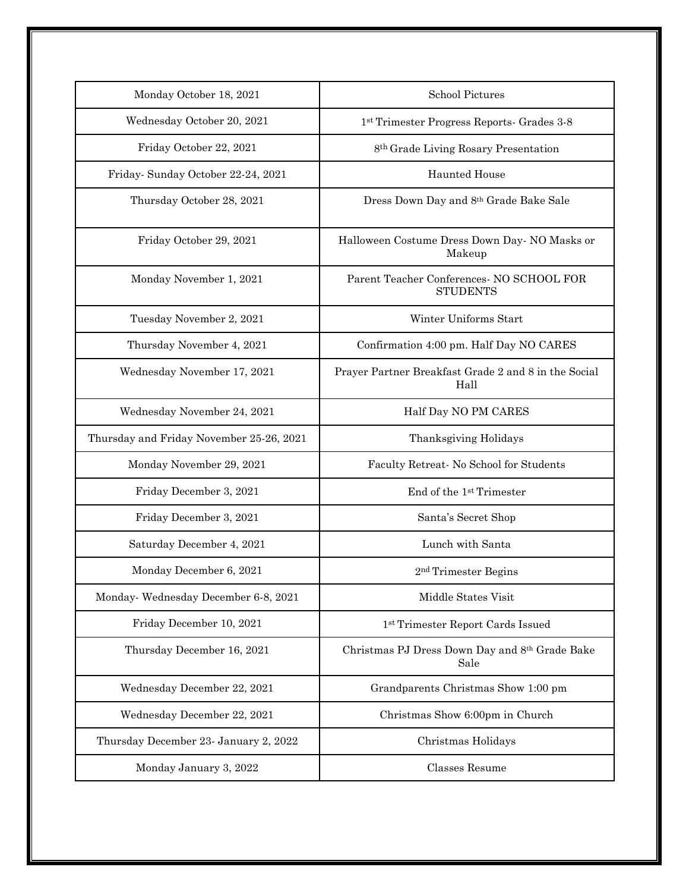| Monday October 18, 2021                  | <b>School Pictures</b>                                       |
|------------------------------------------|--------------------------------------------------------------|
| Wednesday October 20, 2021               | 1st Trimester Progress Reports- Grades 3-8                   |
| Friday October 22, 2021                  | 8 <sup>th</sup> Grade Living Rosary Presentation             |
| Friday-Sunday October 22-24, 2021        | <b>Haunted House</b>                                         |
| Thursday October 28, 2021                | Dress Down Day and 8th Grade Bake Sale                       |
| Friday October 29, 2021                  | Halloween Costume Dress Down Day- NO Masks or<br>Makeup      |
| Monday November 1, 2021                  | Parent Teacher Conferences- NO SCHOOL FOR<br><b>STUDENTS</b> |
| Tuesday November 2, 2021                 | Winter Uniforms Start                                        |
| Thursday November 4, 2021                | Confirmation 4:00 pm. Half Day NO CARES                      |
| Wednesday November 17, 2021              | Prayer Partner Breakfast Grade 2 and 8 in the Social<br>Hall |
| Wednesday November 24, 2021              | Half Day NO PM CARES                                         |
| Thursday and Friday November 25-26, 2021 | Thanksgiving Holidays                                        |
| Monday November 29, 2021                 | Faculty Retreat- No School for Students                      |
| Friday December 3, 2021                  | End of the 1st Trimester                                     |
| Friday December 3, 2021                  | Santa's Secret Shop                                          |
| Saturday December 4, 2021                | Lunch with Santa                                             |
| Monday December 6, 2021                  | 2 <sup>nd</sup> Trimester Begins                             |
| Monday-Wednesday December 6-8, 2021      | Middle States Visit                                          |
| Friday December 10, 2021                 | 1st Trimester Report Cards Issued                            |
| Thursday December 16, 2021               | Christmas PJ Dress Down Day and 8th Grade Bake<br>Sale       |
| Wednesday December 22, 2021              | Grandparents Christmas Show 1:00 pm                          |
| Wednesday December 22, 2021              | Christmas Show 6:00pm in Church                              |
| Thursday December 23- January 2, 2022    | Christmas Holidays                                           |
| Monday January 3, 2022                   | Classes Resume                                               |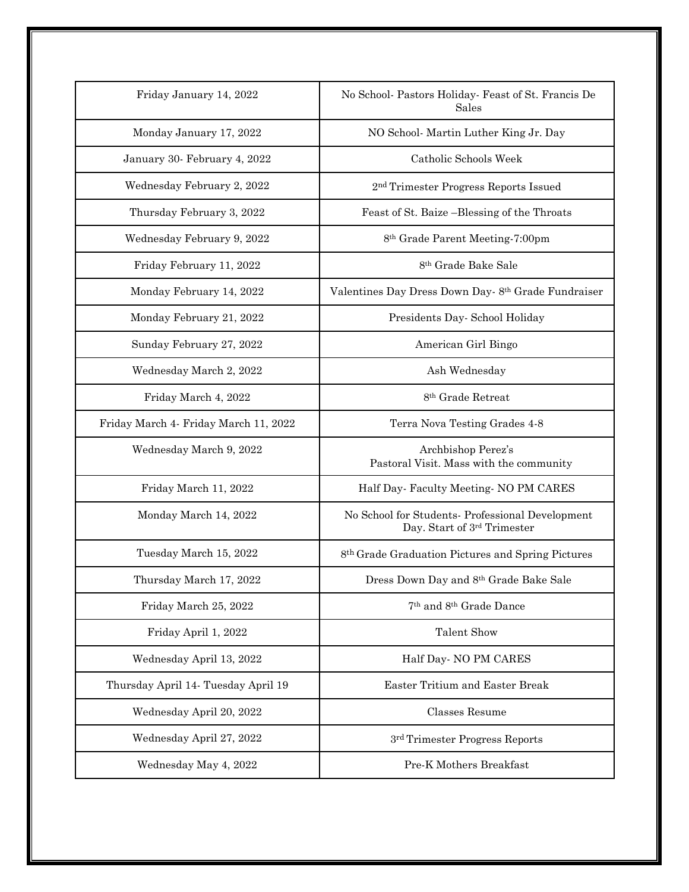| Friday January 14, 2022               | No School- Pastors Holiday- Feast of St. Francis De<br>Sales                    |
|---------------------------------------|---------------------------------------------------------------------------------|
| Monday January 17, 2022               | NO School- Martin Luther King Jr. Day                                           |
| January 30- February 4, 2022          | Catholic Schools Week                                                           |
| Wednesday February 2, 2022            | 2 <sup>nd</sup> Trimester Progress Reports Issued                               |
| Thursday February 3, 2022             | Feast of St. Baize -Blessing of the Throats                                     |
| Wednesday February 9, 2022            | 8 <sup>th</sup> Grade Parent Meeting-7:00pm                                     |
| Friday February 11, 2022              | 8 <sup>th</sup> Grade Bake Sale                                                 |
| Monday February 14, 2022              | Valentines Day Dress Down Day-8th Grade Fundraiser                              |
| Monday February 21, 2022              | Presidents Day- School Holiday                                                  |
| Sunday February 27, 2022              | American Girl Bingo                                                             |
| Wednesday March 2, 2022               | Ash Wednesday                                                                   |
| Friday March 4, 2022                  | 8 <sup>th</sup> Grade Retreat                                                   |
| Friday March 4- Friday March 11, 2022 | Terra Nova Testing Grades 4-8                                                   |
| Wednesday March 9, 2022               | Archbishop Perez's<br>Pastoral Visit. Mass with the community                   |
| Friday March 11, 2022                 | Half Day-Faculty Meeting- NO PM CARES                                           |
| Monday March 14, 2022                 | No School for Students- Professional Development<br>Day. Start of 3rd Trimester |
| Tuesday March 15, 2022                | 8 <sup>th</sup> Grade Graduation Pictures and Spring Pictures                   |
| Thursday March 17, 2022               | Dress Down Day and 8th Grade Bake Sale                                          |
| Friday March 25, 2022                 | 7 <sup>th</sup> and 8 <sup>th</sup> Grade Dance                                 |
| Friday April 1, 2022                  | <b>Talent Show</b>                                                              |
| Wednesday April 13, 2022              | Half Day- NO PM CARES                                                           |
| Thursday April 14- Tuesday April 19   | <b>Easter Tritium and Easter Break</b>                                          |
| Wednesday April 20, 2022              | Classes Resume                                                                  |
| Wednesday April 27, 2022              | 3 <sup>rd</sup> Trimester Progress Reports                                      |
| Wednesday May 4, 2022                 | Pre-K Mothers Breakfast                                                         |